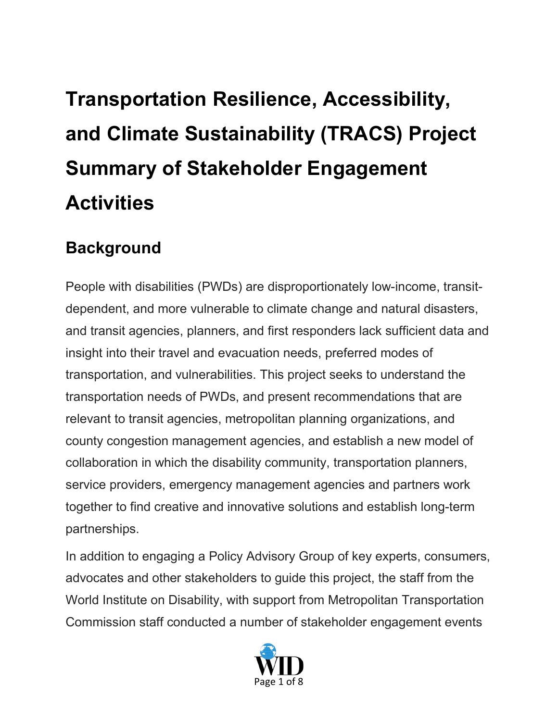# **Transportation Resilience, Accessibility, and Climate Sustainability (TRACS) Project Summary of Stakeholder Engagement Activities**

### **Background**

People with disabilities (PWDs) are disproportionately low-income, transitdependent, and more vulnerable to climate change and natural disasters, and transit agencies, planners, and first responders lack sufficient data and insight into their travel and evacuation needs, preferred modes of transportation, and vulnerabilities. This project seeks to understand the transportation needs of PWDs, and present recommendations that are relevant to transit agencies, metropolitan planning organizations, and county congestion management agencies, and establish a new model of collaboration in which the disability community, transportation planners, service providers, emergency management agencies and partners work together to find creative and innovative solutions and establish long-term partnerships.

In addition to engaging a Policy Advisory Group of key experts, consumers, advocates and other stakeholders to guide this project, the staff from the World Institute on Disability, with support from Metropolitan Transportation Commission staff conducted a number of stakeholder engagement events

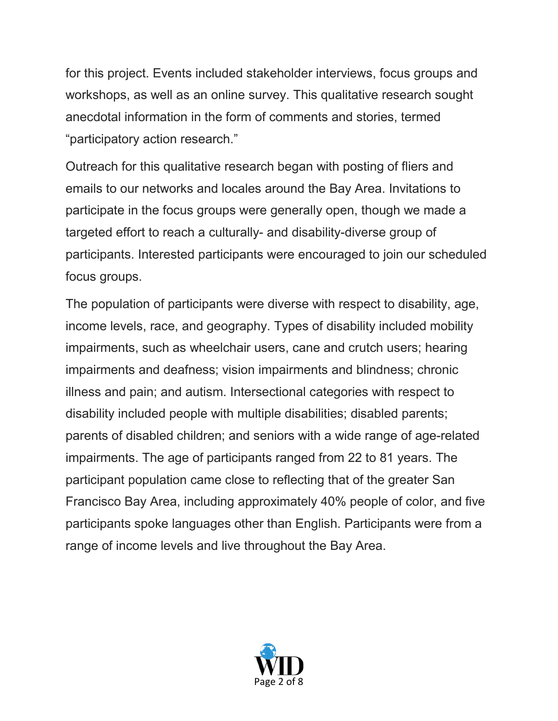for this project. Events included stakeholder interviews, focus groups and workshops, as well as an online survey. This qualitative research sought anecdotal information in the form of comments and stories, termed "participatory action research."

Outreach for this qualitative research began with posting of fliers and emails to our networks and locales around the Bay Area. Invitations to participate in the focus groups were generally open, though we made a targeted effort to reach a culturally- and disability-diverse group of participants. Interested participants were encouraged to join our scheduled focus groups.

The population of participants were diverse with respect to disability, age, income levels, race, and geography. Types of disability included mobility impairments, such as wheelchair users, cane and crutch users; hearing impairments and deafness; vision impairments and blindness; chronic illness and pain; and autism. Intersectional categories with respect to disability included people with multiple disabilities; disabled parents; parents of disabled children; and seniors with a wide range of age-related impairments. The age of participants ranged from 22 to 81 years. The participant population came close to reflecting that of the greater San Francisco Bay Area, including approximately 40% people of color, and five participants spoke languages other than English. Participants were from a range of income levels and live throughout the Bay Area.

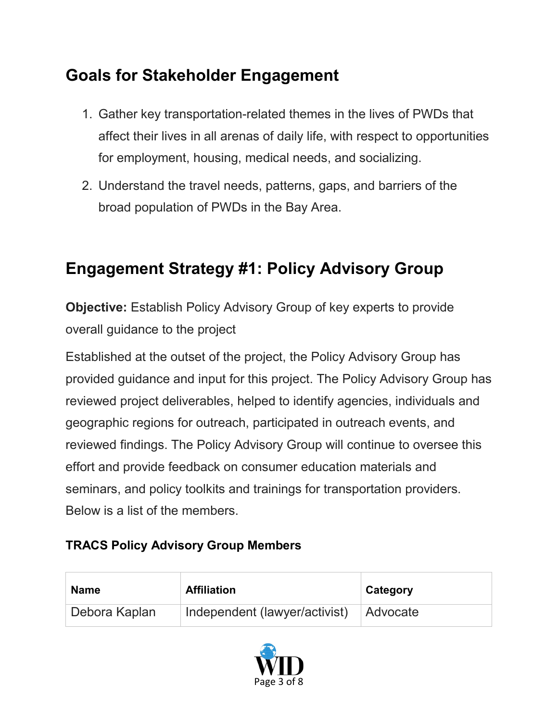# **Goals for Stakeholder Engagement**

- 1. Gather key transportation-related themes in the lives of PWDs that affect their lives in all arenas of daily life, with respect to opportunities for employment, housing, medical needs, and socializing.
- 2. Understand the travel needs, patterns, gaps, and barriers of the broad population of PWDs in the Bay Area.

## **Engagement Strategy #1: Policy Advisory Group**

**Objective:** Establish Policy Advisory Group of key experts to provide overall guidance to the project

Established at the outset of the project, the Policy Advisory Group has provided guidance and input for this project. The Policy Advisory Group has reviewed project deliverables, helped to identify agencies, individuals and geographic regions for outreach, participated in outreach events, and reviewed findings. The Policy Advisory Group will continue to oversee this effort and provide feedback on consumer education materials and seminars, and policy toolkits and trainings for transportation providers. Below is a list of the members.

#### **TRACS Policy Advisory Group Members**

| <b>Name</b>   | <b>Affiliation</b>                     | Category |
|---------------|----------------------------------------|----------|
| Debora Kaplan | Independent (lawyer/activist) Advocate |          |

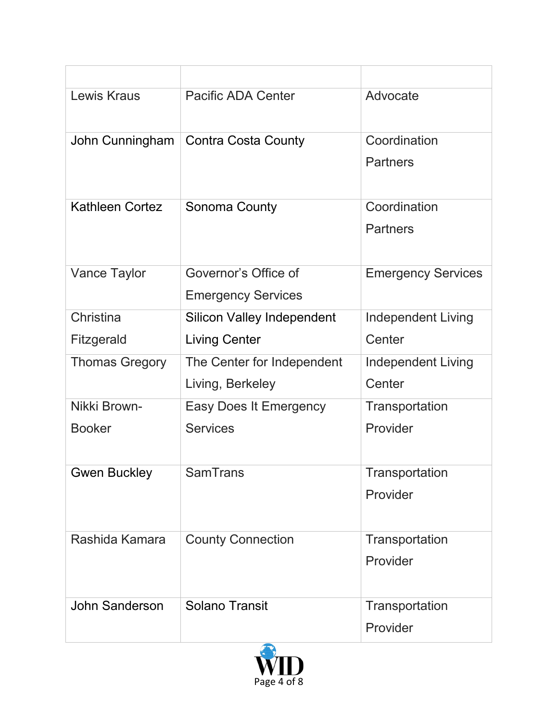| Lewis Kraus            | <b>Pacific ADA Center</b>         | Advocate                  |
|------------------------|-----------------------------------|---------------------------|
| John Cunningham        | <b>Contra Costa County</b>        | Coordination              |
|                        |                                   | <b>Partners</b>           |
| <b>Kathleen Cortez</b> | Sonoma County                     | Coordination              |
|                        |                                   | <b>Partners</b>           |
| <b>Vance Taylor</b>    | Governor's Office of              | <b>Emergency Services</b> |
|                        | <b>Emergency Services</b>         |                           |
| Christina              | <b>Silicon Valley Independent</b> | <b>Independent Living</b> |
| Fitzgerald             | <b>Living Center</b>              | Center                    |
| <b>Thomas Gregory</b>  | The Center for Independent        | <b>Independent Living</b> |
|                        | Living, Berkeley                  | Center                    |
| Nikki Brown-           | <b>Easy Does It Emergency</b>     | Transportation            |
| <b>Booker</b>          | <b>Services</b>                   | Provider                  |
| Gwen Buckley           | <b>SamTrans</b>                   | Transportation            |
|                        |                                   | Provider                  |
| Rashida Kamara         | <b>County Connection</b>          | Transportation            |
|                        |                                   | Provider                  |
| <b>John Sanderson</b>  | <b>Solano Transit</b>             | Transportation            |
|                        |                                   | Provider                  |

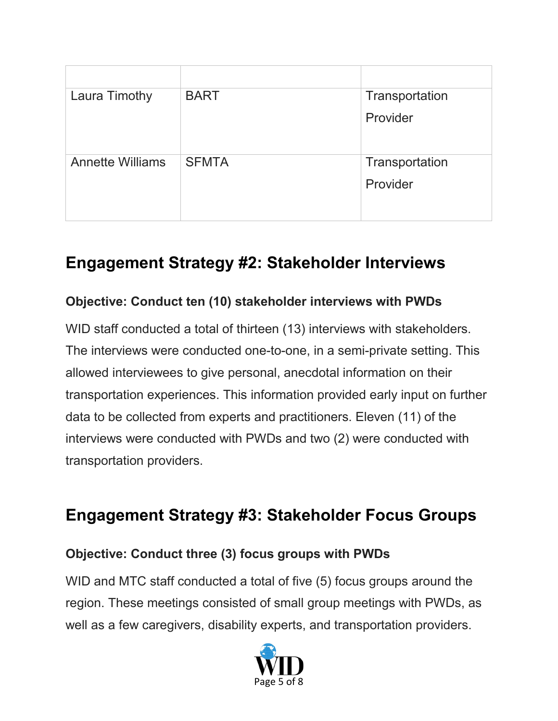| <b>Laura Timothy</b>    | <b>BART</b>  | Transportation |
|-------------------------|--------------|----------------|
|                         |              | Provider       |
| <b>Annette Williams</b> | <b>SFMTA</b> | Transportation |
|                         |              | Provider       |
|                         |              |                |

## **Engagement Strategy #2: Stakeholder Interviews**

#### **Objective: Conduct ten (10) stakeholder interviews with PWDs**

WID staff conducted a total of thirteen (13) interviews with stakeholders. The interviews were conducted one-to-one, in a semi-private setting. This allowed interviewees to give personal, anecdotal information on their transportation experiences. This information provided early input on further data to be collected from experts and practitioners. Eleven (11) of the interviews were conducted with PWDs and two (2) were conducted with transportation providers.

### **Engagement Strategy #3: Stakeholder Focus Groups**

#### **Objective: Conduct three (3) focus groups with PWDs**

WID and MTC staff conducted a total of five (5) focus groups around the region. These meetings consisted of small group meetings with PWDs, as well as a few caregivers, disability experts, and transportation providers.

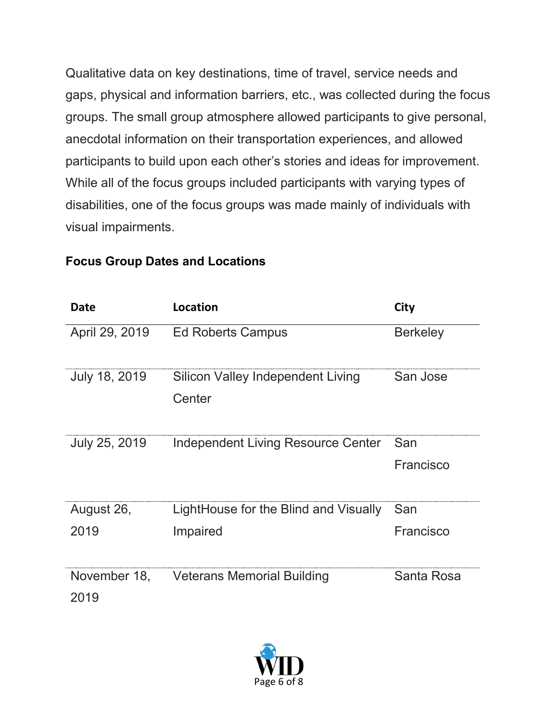Qualitative data on key destinations, time of travel, service needs and gaps, physical and information barriers, etc., was collected during the focus groups. The small group atmosphere allowed participants to give personal, anecdotal information on their transportation experiences, and allowed participants to build upon each other's stories and ideas for improvement. While all of the focus groups included participants with varying types of disabilities, one of the focus groups was made mainly of individuals with visual impairments.

| <b>Date</b>          | <b>Location</b>                             | <b>City</b>      |
|----------------------|---------------------------------------------|------------------|
| April 29, 2019       | <b>Ed Roberts Campus</b>                    | <b>Berkeley</b>  |
| July 18, 2019        | Silicon Valley Independent Living<br>Center | San Jose         |
| July 25, 2019        | Independent Living Resource Center          | San<br>Francisco |
| August 26,           | LightHouse for the Blind and Visually       | San              |
| 2019                 | Impaired                                    | Francisco        |
| November 18,<br>2019 | <b>Veterans Memorial Building</b>           | Santa Rosa       |

#### **Focus Group Dates and Locations**

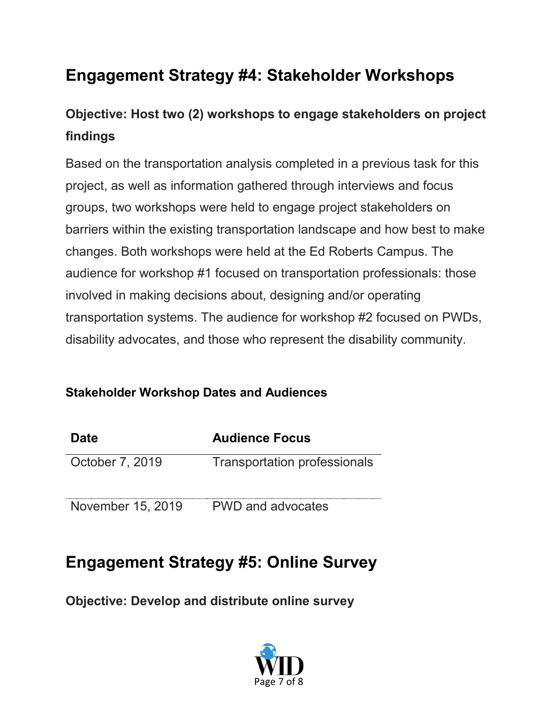# **Engagement Strategy #4: Stakeholder Workshops**

### **Objective: Host two (2) workshops to engage stakeholders on project findings**

Based on the transportation analysis completed in a previous task for this project, as well as information gathered through interviews and focus groups, two workshops were held to engage project stakeholders on barriers within the existing transportation landscape and how best to make changes. Both workshops were held at the Ed Roberts Campus. The audience for workshop #1 focused on transportation professionals: those involved in making decisions about, designing and/or operating transportation systems. The audience for workshop #2 focused on PWDs, disability advocates, and those who represent the disability community.

#### **Stakeholder Workshop Dates and Audiences**

| <b>Date</b>       | <b>Audience Focus</b>               |
|-------------------|-------------------------------------|
| October 7, 2019   | <b>Transportation professionals</b> |
| November 15, 2019 | <b>PWD and advocates</b>            |

## **Engagement Strategy #5: Online Survey**

**Objective: Develop and distribute online survey**